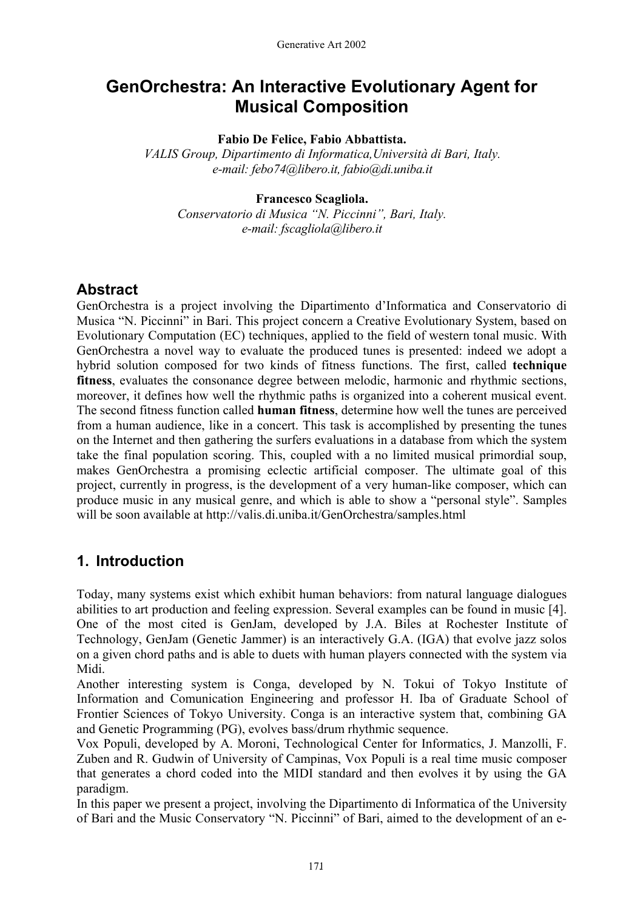# **GenOrchestra: An Interactive Evolutionary Agent for Musical Composition**

#### **Fabio De Felice, Fabio Abbattista.**

*VALIS Group, Dipartimento di Informatica,Università di Bari, Italy. e-mail: febo74@libero.it, fabio@di.uniba.it* 

#### **Francesco Scagliola.**

*Conservatorio di Musica "N. Piccinni", Bari, Italy. e-mail: fscagliola@libero.it* 

### **Abstract**

GenOrchestra is a project involving the Dipartimento d'Informatica and Conservatorio di Musica "N. Piccinni" in Bari. This project concern a Creative Evolutionary System, based on Evolutionary Computation (EC) techniques, applied to the field of western tonal music. With GenOrchestra a novel way to evaluate the produced tunes is presented: indeed we adopt a hybrid solution composed for two kinds of fitness functions. The first, called **technique fitness**, evaluates the consonance degree between melodic, harmonic and rhythmic sections, moreover, it defines how well the rhythmic paths is organized into a coherent musical event. The second fitness function called **human fitness**, determine how well the tunes are perceived from a human audience, like in a concert. This task is accomplished by presenting the tunes on the Internet and then gathering the surfers evaluations in a database from which the system take the final population scoring. This, coupled with a no limited musical primordial soup, makes GenOrchestra a promising eclectic artificial composer. The ultimate goal of this project, currently in progress, is the development of a very human-like composer, which can produce music in any musical genre, and which is able to show a "personal style". Samples will be soon available at http://valis.di.uniba.it/GenOrchestra/samples.html

# **1. Introduction**

Today, many systems exist which exhibit human behaviors: from natural language dialogues abilities to art production and feeling expression. Several examples can be found in music [4]. One of the most cited is GenJam, developed by J.A. Biles at Rochester Institute of Technology, GenJam (Genetic Jammer) is an interactively G.A. (IGA) that evolve jazz solos on a given chord paths and is able to duets with human players connected with the system via Midi.

Another interesting system is Conga, developed by N. Tokui of Tokyo Institute of Information and Comunication Engineering and professor H. Iba of Graduate School of Frontier Sciences of Tokyo University. Conga is an interactive system that, combining GA and Genetic Programming (PG), evolves bass/drum rhythmic sequence.

Vox Populi, developed by A. Moroni, Technological Center for Informatics, J. Manzolli, F. Zuben and R. Gudwin of University of Campinas, Vox Populi is a real time music composer that generates a chord coded into the MIDI standard and then evolves it by using the GA paradigm.

In this paper we present a project, involving the Dipartimento di Informatica of the University of Bari and the Music Conservatory "N. Piccinni" of Bari, aimed to the development of an e-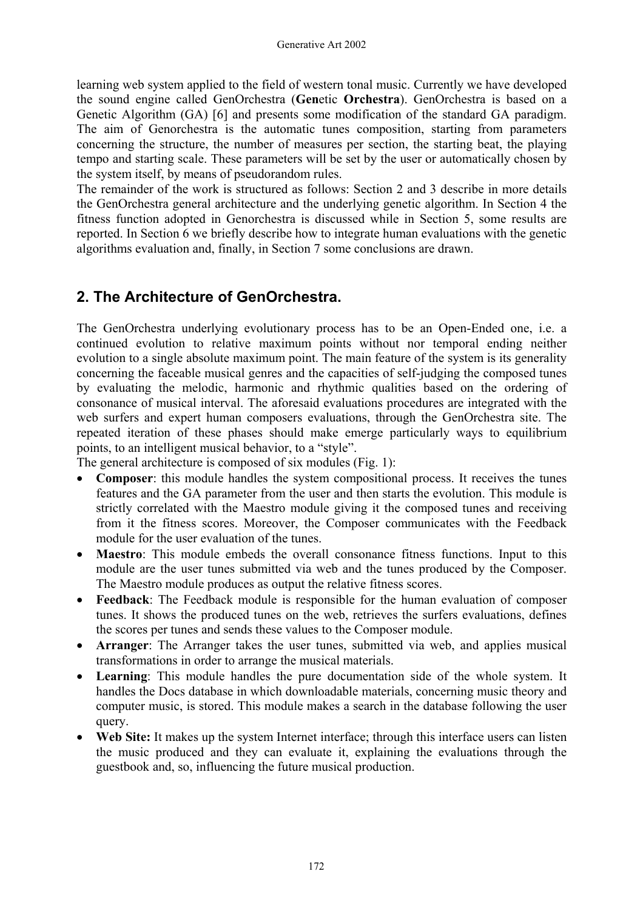learning web system applied to the field of western tonal music. Currently we have developed the sound engine called GenOrchestra (**Gen**etic **Orchestra**). GenOrchestra is based on a Genetic Algorithm (GA) [6] and presents some modification of the standard GA paradigm. The aim of Genorchestra is the automatic tunes composition, starting from parameters concerning the structure, the number of measures per section, the starting beat, the playing tempo and starting scale. These parameters will be set by the user or automatically chosen by the system itself, by means of pseudorandom rules.

The remainder of the work is structured as follows: Section 2 and 3 describe in more details the GenOrchestra general architecture and the underlying genetic algorithm. In Section 4 the fitness function adopted in Genorchestra is discussed while in Section 5, some results are reported. In Section 6 we briefly describe how to integrate human evaluations with the genetic algorithms evaluation and, finally, in Section 7 some conclusions are drawn.

# **2. The Architecture of GenOrchestra.**

The GenOrchestra underlying evolutionary process has to be an Open-Ended one, i.e. a continued evolution to relative maximum points without nor temporal ending neither evolution to a single absolute maximum point. The main feature of the system is its generality concerning the faceable musical genres and the capacities of self-judging the composed tunes by evaluating the melodic, harmonic and rhythmic qualities based on the ordering of consonance of musical interval. The aforesaid evaluations procedures are integrated with the web surfers and expert human composers evaluations, through the GenOrchestra site. The repeated iteration of these phases should make emerge particularly ways to equilibrium points, to an intelligent musical behavior, to a "style".

The general architecture is composed of six modules (Fig. 1):

- **Composer**: this module handles the system compositional process. It receives the tunes features and the GA parameter from the user and then starts the evolution. This module is strictly correlated with the Maestro module giving it the composed tunes and receiving from it the fitness scores. Moreover, the Composer communicates with the Feedback module for the user evaluation of the tunes.
- **Maestro**: This module embeds the overall consonance fitness functions. Input to this module are the user tunes submitted via web and the tunes produced by the Composer. The Maestro module produces as output the relative fitness scores.
- **Feedback**: The Feedback module is responsible for the human evaluation of composer tunes. It shows the produced tunes on the web, retrieves the surfers evaluations, defines the scores per tunes and sends these values to the Composer module.
- **Arranger**: The Arranger takes the user tunes, submitted via web, and applies musical transformations in order to arrange the musical materials.
- **Learning**: This module handles the pure documentation side of the whole system. It handles the Docs database in which downloadable materials, concerning music theory and computer music, is stored. This module makes a search in the database following the user query.
- **Web Site:** It makes up the system Internet interface; through this interface users can listen the music produced and they can evaluate it, explaining the evaluations through the guestbook and, so, influencing the future musical production.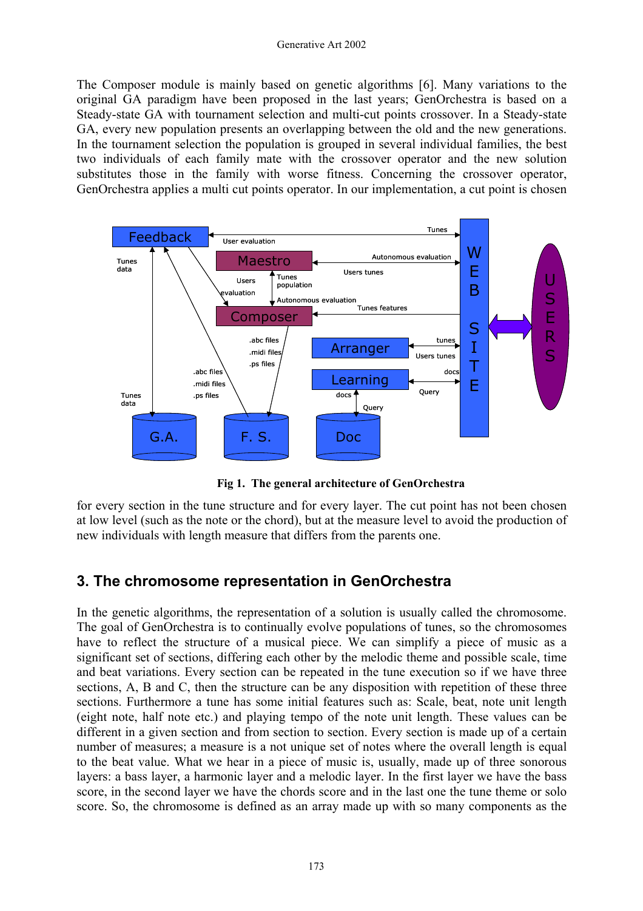The Composer module is mainly based on genetic algorithms [6]. Many variations to the original GA paradigm have been proposed in the last years; GenOrchestra is based on a Steady-state GA with tournament selection and multi-cut points crossover. In a Steady-state GA, every new population presents an overlapping between the old and the new generations. In the tournament selection the population is grouped in several individual families, the best two individuals of each family mate with the crossover operator and the new solution substitutes those in the family with worse fitness. Concerning the crossover operator, GenOrchestra applies a multi cut points operator. In our implementation, a cut point is chosen



**Fig 1. The general architecture of GenOrchestra** 

for every section in the tune structure and for every layer. The cut point has not been chosen at low level (such as the note or the chord), but at the measure level to avoid the production of new individuals with length measure that differs from the parents one.

# **3. The chromosome representation in GenOrchestra**

In the genetic algorithms, the representation of a solution is usually called the chromosome. The goal of GenOrchestra is to continually evolve populations of tunes, so the chromosomes have to reflect the structure of a musical piece. We can simplify a piece of music as a significant set of sections, differing each other by the melodic theme and possible scale, time and beat variations. Every section can be repeated in the tune execution so if we have three sections, A, B and C, then the structure can be any disposition with repetition of these three sections. Furthermore a tune has some initial features such as: Scale, beat, note unit length (eight note, half note etc.) and playing tempo of the note unit length. These values can be different in a given section and from section to section. Every section is made up of a certain number of measures; a measure is a not unique set of notes where the overall length is equal to the beat value. What we hear in a piece of music is, usually, made up of three sonorous layers: a bass layer, a harmonic layer and a melodic layer. In the first layer we have the bass score, in the second layer we have the chords score and in the last one the tune theme or solo score. So, the chromosome is defined as an array made up with so many components as the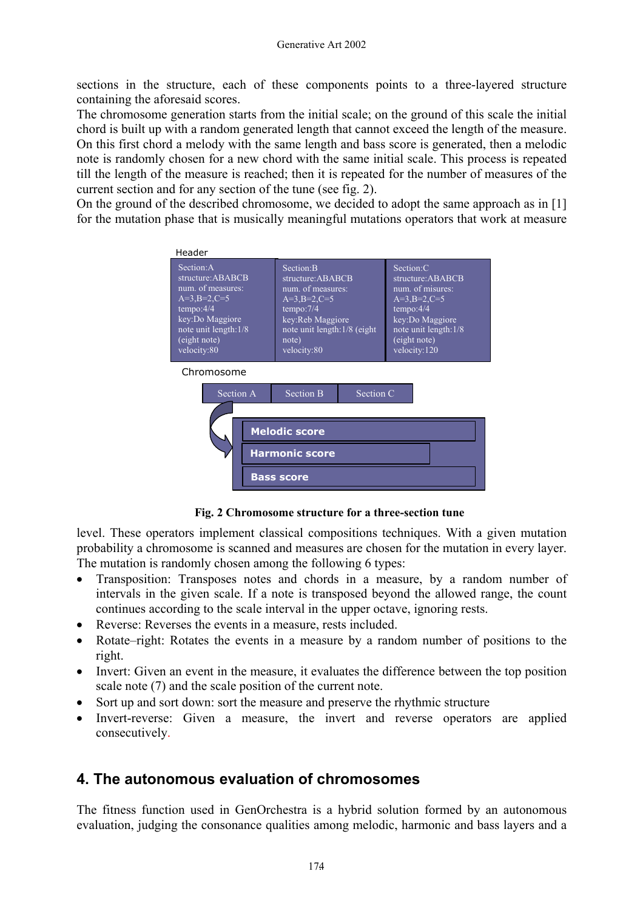sections in the structure, each of these components points to a three-layered structure containing the aforesaid scores.

The chromosome generation starts from the initial scale; on the ground of this scale the initial chord is built up with a random generated length that cannot exceed the length of the measure. On this first chord a melody with the same length and bass score is generated, then a melodic note is randomly chosen for a new chord with the same initial scale. This process is repeated till the length of the measure is reached; then it is repeated for the number of measures of the current section and for any section of the tune (see fig. 2).

On the ground of the described chromosome, we decided to adopt the same approach as in [1] for the mutation phase that is musically meaningful mutations operators that work at measure



**Fig. 2 Chromosome structure for a three-section tune** 

level. These operators implement classical compositions techniques. With a given mutation probability a chromosome is scanned and measures are chosen for the mutation in every layer. The mutation is randomly chosen among the following 6 types:

- Transposition: Transposes notes and chords in a measure, by a random number of intervals in the given scale. If a note is transposed beyond the allowed range, the count continues according to the scale interval in the upper octave, ignoring rests.
- Reverse: Reverses the events in a measure, rests included.
- Rotate–right: Rotates the events in a measure by a random number of positions to the right.
- Invert: Given an event in the measure, it evaluates the difference between the top position scale note (7) and the scale position of the current note.
- Sort up and sort down: sort the measure and preserve the rhythmic structure
- Invert-reverse: Given a measure, the invert and reverse operators are applied consecutively.

# **4. The autonomous evaluation of chromosomes**

The fitness function used in GenOrchestra is a hybrid solution formed by an autonomous evaluation, judging the consonance qualities among melodic, harmonic and bass layers and a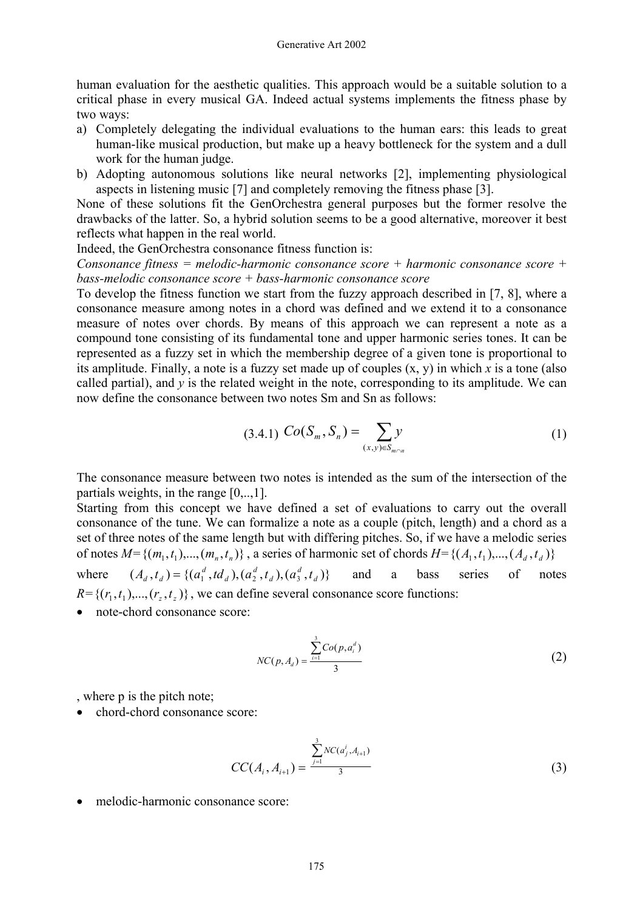human evaluation for the aesthetic qualities. This approach would be a suitable solution to a critical phase in every musical GA. Indeed actual systems implements the fitness phase by two ways:

- a) Completely delegating the individual evaluations to the human ears: this leads to great human-like musical production, but make up a heavy bottleneck for the system and a dull work for the human judge.
- b) Adopting autonomous solutions like neural networks [2], implementing physiological aspects in listening music [7] and completely removing the fitness phase [3].

None of these solutions fit the GenOrchestra general purposes but the former resolve the drawbacks of the latter. So, a hybrid solution seems to be a good alternative, moreover it best reflects what happen in the real world.

Indeed, the GenOrchestra consonance fitness function is:

*Consonance fitness = melodic-harmonic consonance score + harmonic consonance score + bass-melodic consonance score + bass-harmonic consonance score* 

To develop the fitness function we start from the fuzzy approach described in [7, 8], where a consonance measure among notes in a chord was defined and we extend it to a consonance measure of notes over chords. By means of this approach we can represent a note as a compound tone consisting of its fundamental tone and upper harmonic series tones. It can be represented as a fuzzy set in which the membership degree of a given tone is proportional to its amplitude. Finally, a note is a fuzzy set made up of couples (x, y) in which *x* is a tone (also called partial), and  $\nu$  is the related weight in the note, corresponding to its amplitude. We can now define the consonance between two notes Sm and Sn as follows:

$$
(3.4.1) \ Co(S_m, S_n) = \sum_{(x,y)\in S_{m\cap n}} y
$$
 (1)

The consonance measure between two notes is intended as the sum of the intersection of the partials weights, in the range [0,..,1].

Starting from this concept we have defined a set of evaluations to carry out the overall consonance of the tune. We can formalize a note as a couple (pitch, length) and a chord as a set of three notes of the same length but with differing pitches. So, if we have a melodic series of notes  $M = \{(m_1, t_1), ..., (m_n, t_n)\}\$ , a series of harmonic set of chords  $H = \{(A_1, t_1), ..., (A_d, t_d)\}\$ 

where  $(A_d, t_d) = \{ (a_1^d, td_d), (a_2^d, t_d), (a_3^d, t_d) \}$  and a bass series of notes  $R = \{(r_1, t_1), \ldots, (r_z, t_z)\}\,$ , we can define several consonance score functions: *d d d*  $a_1^d$ , *td*<sub>*d*</sub>),  $(a_2^d, t_d)$ ,  $(a_3^d, t_d)$ 

• note-chord consonance score:

$$
NC(p, A_d) = \frac{\sum_{i=1}^{3} Co(p, a_i^d)}{3}
$$
 (2)

, where p is the pitch note;

 $\bullet$  chord-chord consonance score:

$$
CC(A_i, A_{i+1}) = \frac{\sum_{j=1}^{3} NC(a_j^i, A_{i+1})}{3}
$$
 (3)

• melodic-harmonic consonance score: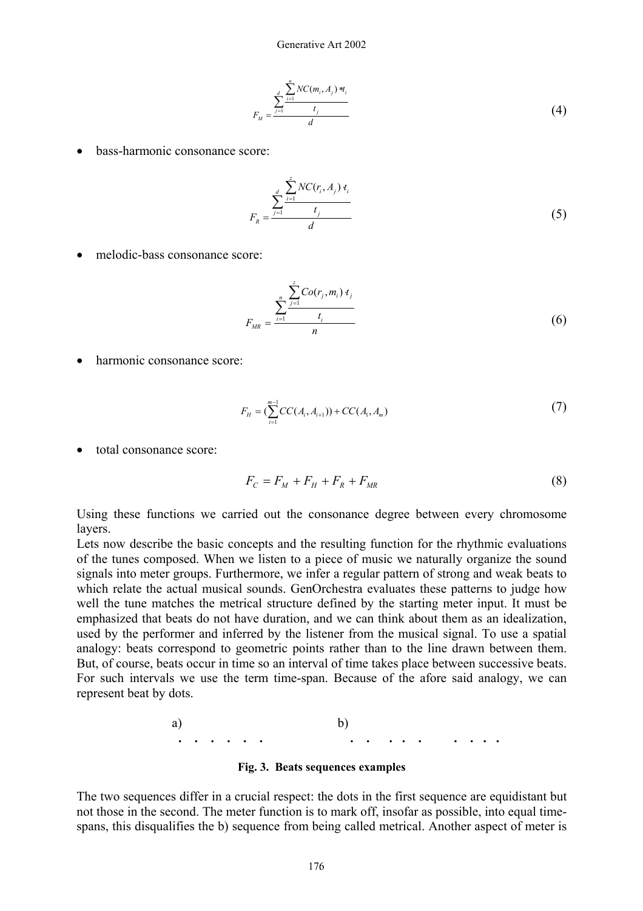$$
F_M = \frac{\sum_{j=1}^{d} \frac{NC(m_i, A_j) * t_i}{t_j}}{d}
$$
 (4)

• bass-harmonic consonance score:

$$
F_R = \frac{\sum_{j=1}^{d} NC(r_i, A_j) t_i}{d}
$$
 (5)

• melodic-bass consonance score:

$$
F_{MR} = \frac{\sum_{i=1}^{n} \sum_{j=1}^{z} Co(r_j, m_i) t_j}{t_i}
$$
(6)

• harmonic consonance score:

$$
F_H = \left(\sum_{i=1}^{m-1} CC(A_i, A_{i+1})\right) + CC(A_1, A_m)
$$
\n(7)

• total consonance score:

$$
F_C = F_M + F_H + F_R + F_{MR}
$$
 (8)

Using these functions we carried out the consonance degree between every chromosome **layers** 

Lets now describe the basic concepts and the resulting function for the rhythmic evaluations of the tunes composed. When we listen to a piece of music we naturally organize the sound signals into meter groups. Furthermore, we infer a regular pattern of strong and weak beats to which relate the actual musical sounds. GenOrchestra evaluates these patterns to judge how well the tune matches the metrical structure defined by the starting meter input. It must be emphasized that beats do not have duration, and we can think about them as an idealization, used by the performer and inferred by the listener from the musical signal. To use a spatial analogy: beats correspond to geometric points rather than to the line drawn between them. But, of course, beats occur in time so an interval of time takes place between successive beats. For such intervals we use the term time-span. Because of the afore said analogy, we can represent beat by dots.

a) b) **. . . . . . . . . . . . . . .** 

**Fig. 3. Beats sequences examples** 

The two sequences differ in a crucial respect: the dots in the first sequence are equidistant but not those in the second. The meter function is to mark off, insofar as possible, into equal timespans, this disqualifies the b) sequence from being called metrical. Another aspect of meter is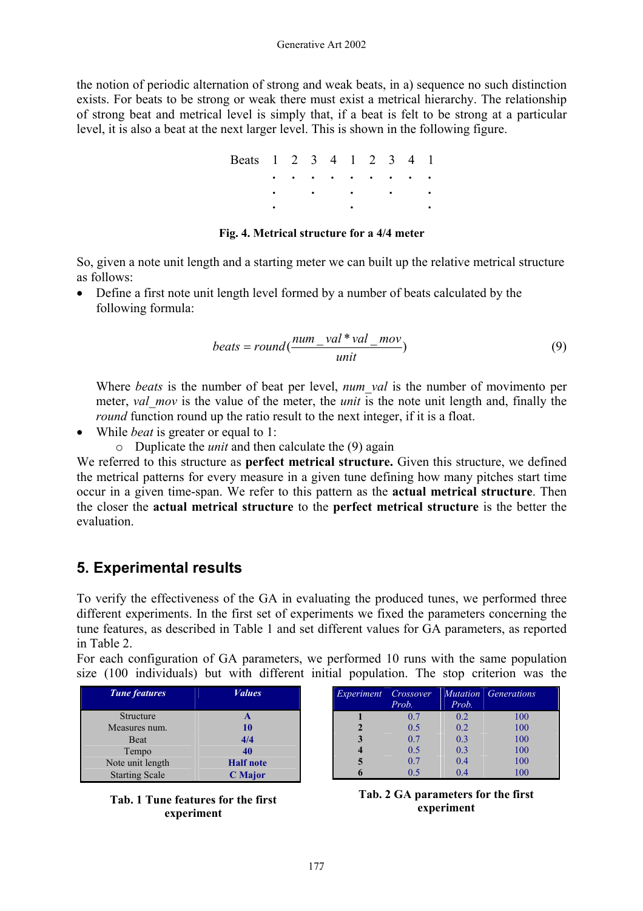the notion of periodic alternation of strong and weak beats, in a) sequence no such distinction exists. For beats to be strong or weak there must exist a metrical hierarchy. The relationship of strong beat and metrical level is simply that, if a beat is felt to be strong at a particular level, it is also a beat at the next larger level. This is shown in the following figure.

| Beats 1 2 3 4 1 2 3 4 1 |  |  |           |  |                                                             |  |
|-------------------------|--|--|-----------|--|-------------------------------------------------------------|--|
|                         |  |  |           |  |                                                             |  |
|                         |  |  |           |  | $\bullet$ $\bullet$ $\bullet$ $\bullet$ $\bullet$ $\bullet$ |  |
|                         |  |  | $\bullet$ |  |                                                             |  |

#### **Fig. 4. Metrical structure for a 4/4 meter**

So, given a note unit length and a starting meter we can built up the relative metrical structure as follows:

• Define a first note unit length level formed by a number of beats calculated by the following formula:

$$
beats = round(\frac{num\_val * val\_mov}{unit})
$$
 (9)

Where *beats* is the number of beat per level, *num\_val* is the number of movimento per meter, *val* mov is the value of the meter, the *unit* is the note unit length and, finally the *round* function round up the ratio result to the next integer, if it is a float.

- While *beat* is greater or equal to 1:
	- o Duplicate the *unit* and then calculate the (9) again

We referred to this structure as **perfect metrical structure.** Given this structure, we defined the metrical patterns for every measure in a given tune defining how many pitches start time occur in a given time-span. We refer to this pattern as the **actual metrical structure**. Then the closer the **actual metrical structure** to the **perfect metrical structure** is the better the evaluation.

### **5. Experimental results**

To verify the effectiveness of the GA in evaluating the produced tunes, we performed three different experiments. In the first set of experiments we fixed the parameters concerning the tune features, as described in Table 1 and set different values for GA parameters, as reported in Table 2.

For each configuration of GA parameters, we performed 10 runs with the same population size (100 individuals) but with different initial population. The stop criterion was the

| <b>Tune features</b>  | <b><i>Values</i></b> |
|-----------------------|----------------------|
| <b>Structure</b>      |                      |
| Measures num.         | 10                   |
| <b>Beat</b>           | 4/4                  |
| Tempo                 | 40                   |
| Note unit length      | <b>Half</b> note     |
| <b>Starting Scale</b> | <b>C</b> Major       |



| Crossover | <b>Mutation</b> | Generations |
|-----------|-----------------|-------------|
| Prob.     | Prob.           |             |
| 0.7       | 0.2             | 100         |
| 0.5       | 0.2             | 100         |
| 0.7       | 0.3             | 100         |
| 0.5       | 0.3             | 100         |
| 0.7       | 0.4             | 100         |
| 0.5       | 0.4             | 100         |
|           |                 |             |

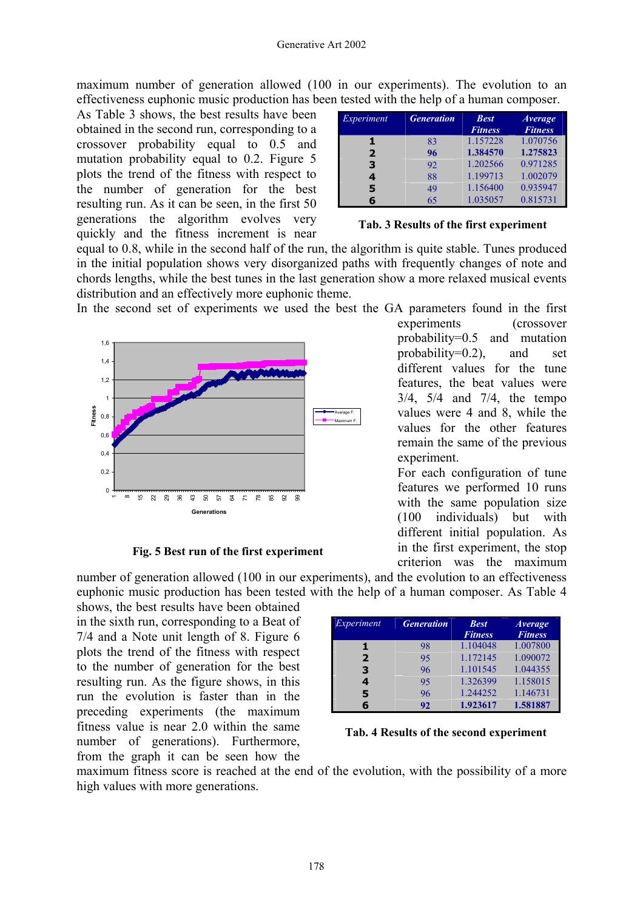maximum number of generation allowed (100 in our experiments). The evolution to an effectiveness euphonic music production has been tested with the help of a human composer.

As Table 3 shows, the best results have been obtained in the second run, corresponding to a crossover probability equal to 0.5 and mutation probability equal to 0.2. Figure 5 plots the trend of the fitness with respect to the number of generation for the best resulting run. As it can be seen, in the first 50 generations the algorithm evolves very quickly and the fitness increment is near

| Experiment     | <b>Generation</b> | <b>Best</b><br><b>Fitness</b> | <i>Average</i><br><b>Fitness</b> |
|----------------|-------------------|-------------------------------|----------------------------------|
|                | 83                | 1.157228                      | 1.070756                         |
| $\overline{2}$ | 96                | 1.384570                      | 1.275823                         |
| 3              | 92                | 1.202566                      | 0.971285                         |
| 4              | 88                | 1.199713                      | 1.002079                         |
| 5              | 49                | 1.156400                      | 0.935947                         |
|                | 65                | 1.035057                      | 0.815731                         |

#### **Tab. 3 Results of the first experiment**

equal to 0.8, while in the second half of the run, the algorithm is quite stable. Tunes produced in the initial population shows very disorganized paths with frequently changes of note and chords lengths, while the best tunes in the last generation show a more relaxed musical events distribution and an effectively more euphonic theme.

In the second set of experiments we used the best the GA parameters found in the first



#### **Fig. 5 Best run of the first experiment**

number of generation allowed (100 in our experiments), and the evolution to an effectiveness euphonic music production has been tested with the help of a human composer. As Table 4

shows, the best results have been obtained in the sixth run, corresponding to a Beat of 7/4 and a Note unit length of 8. Figure 6 plots the trend of the fitness with respect to the number of generation for the best resulting run. As the figure shows, in this run the evolution is faster than in the preceding experiments (the maximum fitness value is near 2.0 within the same number of generations). Furthermore, from the graph it can be seen how the

| Experiment   | <b>Generation</b> | <b>Best</b><br><b>Fitness</b> | <i>Average</i><br><b>Fitness</b> |
|--------------|-------------------|-------------------------------|----------------------------------|
|              | 98                | 1.104048                      | 1.007800                         |
| $\mathbf{2}$ | 95                | 1.172145                      | 1.090072                         |
| 3            | 96                | 1.101545                      | 1.044355                         |
| 4            | 95                | 1.326399                      | 1.158015                         |
| 5            | 96                | 1.244252                      | 1.146731                         |
|              | 92                | 1.923617                      | 1.581887                         |

**Tab. 4 Results of the second experiment**

maximum fitness score is reached at the end of the evolution, with the possibility of a more high values with more generations.

experiments (crossover probability=0.5 and mutation probability= $0.2$ ), and set different values for the tune features, the beat values were 3/4, 5/4 and 7/4, the tempo values were 4 and 8, while the values for the other features remain the same of the previous experiment.

For each configuration of tune features we performed 10 runs with the same population size (100 individuals) but with different initial population. As in the first experiment, the stop criterion was the maximum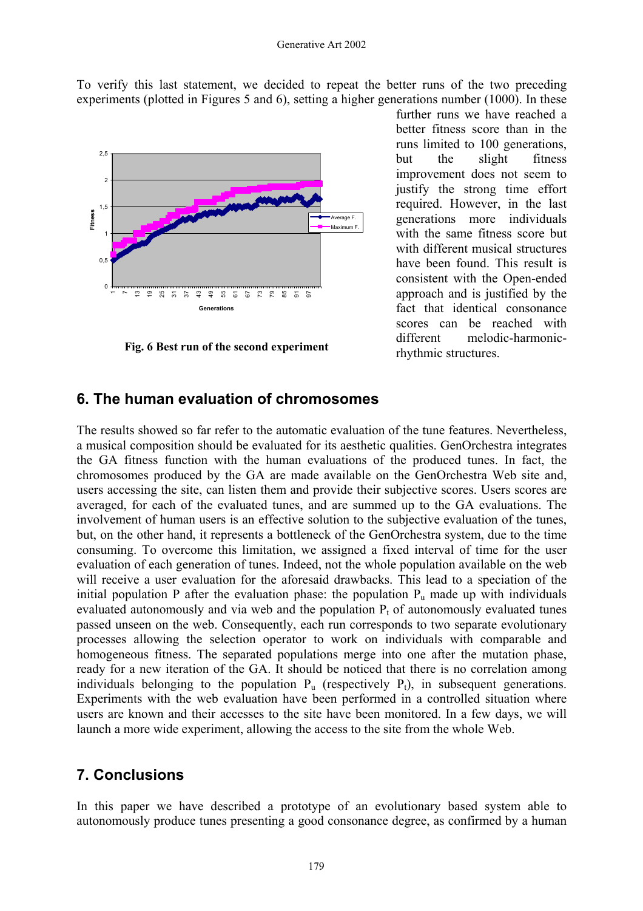To verify this last statement, we decided to repeat the better runs of the two preceding experiments (plotted in Figures 5 and 6), setting a higher generations number (1000). In these



**Fig. 6 Best run of the second experiment**

further runs we have reached a better fitness score than in the runs limited to 100 generations, but the slight fitness improvement does not seem to justify the strong time effort required. However, in the last generations more individuals with the same fitness score but with different musical structures have been found. This result is consistent with the Open-ended approach and is justified by the fact that identical consonance scores can be reached with different melodic-harmonicrhythmic structures.

### **6. The human evaluation of chromosomes**

The results showed so far refer to the automatic evaluation of the tune features. Nevertheless, a musical composition should be evaluated for its aesthetic qualities. GenOrchestra integrates the GA fitness function with the human evaluations of the produced tunes. In fact, the chromosomes produced by the GA are made available on the GenOrchestra Web site and, users accessing the site, can listen them and provide their subjective scores. Users scores are averaged, for each of the evaluated tunes, and are summed up to the GA evaluations. The involvement of human users is an effective solution to the subjective evaluation of the tunes, but, on the other hand, it represents a bottleneck of the GenOrchestra system, due to the time consuming. To overcome this limitation, we assigned a fixed interval of time for the user evaluation of each generation of tunes. Indeed, not the whole population available on the web will receive a user evaluation for the aforesaid drawbacks. This lead to a speciation of the initial population P after the evaluation phase: the population  $P_{\mu}$  made up with individuals evaluated autonomously and via web and the population  $P_t$  of autonomously evaluated tunes passed unseen on the web. Consequently, each run corresponds to two separate evolutionary processes allowing the selection operator to work on individuals with comparable and homogeneous fitness. The separated populations merge into one after the mutation phase, ready for a new iteration of the GA. It should be noticed that there is no correlation among individuals belonging to the population  $P_{\text{u}}$  (respectively  $P_{\text{t}}$ ), in subsequent generations. Experiments with the web evaluation have been performed in a controlled situation where users are known and their accesses to the site have been monitored. In a few days, we will launch a more wide experiment, allowing the access to the site from the whole Web.

### **7. Conclusions**

In this paper we have described a prototype of an evolutionary based system able to autonomously produce tunes presenting a good consonance degree, as confirmed by a human